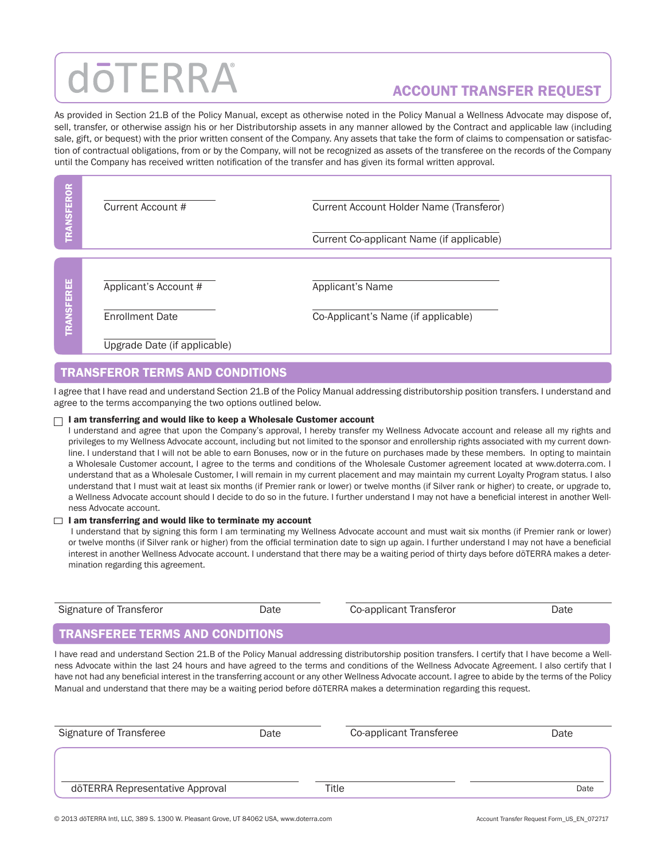# dōTERRA

## ACCOUNT TRANSFER REQUEST

As provided in Section 21.B of the Policy Manual, except as otherwise noted in the Policy Manual a Wellness Advocate may dispose of, sell, transfer, or otherwise assign his or her Distributorship assets in any manner allowed by the Contract and applicable law (including sale, gift, or bequest) with the prior written consent of the Company. Any assets that take the form of claims to compensation or satisfaction of contractual obligations, from or by the Company, will not be recognized as assets of the transferee on the records of the Company until the Company has received written notification of the transfer and has given its formal written approval.

**RANSFEROR** TRANSFEROR Current Account # Current Account Holder Name (Transferor) Current Co-applicant Name (if applicable) **ANSFEREE** TRANSFEREE Applicant's Account # Applicant's Name Enrollment Date Co-Applicant's Name (if applicable)

Upgrade Date (if applicable)

### TRANSFEROR TERMS AND CONDITIONS

I agree that I have read and understand Section 21.B of the Policy Manual addressing distributorship position transfers. I understand and agree to the terms accompanying the two options outlined below.

#### $\Box$  I am transferring and would like to keep a Wholesale Customer account

I understand and agree that upon the Company's approval, I hereby transfer my Wellness Advocate account and release all my rights and privileges to my Wellness Advocate account, including but not limited to the sponsor and enrollership rights associated with my current downline. I understand that I will not be able to earn Bonuses, now or in the future on purchases made by these members. In opting to maintain a Wholesale Customer account, I agree to the terms and conditions of the Wholesale Customer agreement located at www.doterra.com. I understand that as a Wholesale Customer, I will remain in my current placement and may maintain my current Loyalty Program status. I also understand that I must wait at least six months (if Premier rank or lower) or twelve months (if Silver rank or higher) to create, or upgrade to, a Wellness Advocate account should I decide to do so in the future. I further understand I may not have a beneficial interest in another Wellness Advocate account.

#### $\Box$  I am transferring and would like to terminate my account

I understand that by signing this form I am terminating my Wellness Advocate account and must wait six months (if Premier rank or lower) or twelve months (if Silver rank or higher) from the official termination date to sign up again. I further understand I may not have a beneficial interest in another Wellness Advocate account. I understand that there may be a waiting period of thirty days before dōTERRA makes a determination regarding this agreement.

| Signature of Transferor                | Date | Co-applicant Transferor                                                                                                                                                                                                | Date |
|----------------------------------------|------|------------------------------------------------------------------------------------------------------------------------------------------------------------------------------------------------------------------------|------|
| <b>TRANSFEREE TERMS AND CONDITIONS</b> |      |                                                                                                                                                                                                                        |      |
|                                        |      | $\mathbf{H} = \mathbf{H} + \mathbf{H} + \mathbf{H}$ , and the state $\mathbf{H} = \mathbf{H} + \mathbf{H} + \mathbf{H}$ , we see that $\mathbf{H} = \mathbf{H} + \mathbf{H}$ , and the state of the state $\mathbf{H}$ |      |

I have read and understand Section 21.B of the Policy Manual addressing distributorship position transfers. I certify that I have become a Wellness Advocate within the last 24 hours and have agreed to the terms and conditions of the Wellness Advocate Agreement. I also certify that I have not had any beneficial interest in the transferring account or any other Wellness Advocate account. I agree to abide by the terms of the Policy Manual and understand that there may be a waiting period before dōTERRA makes a determination regarding this request.

| Signature of Transferee         | Date | Co-applicant Transferee | Date |
|---------------------------------|------|-------------------------|------|
|                                 |      |                         |      |
| dōTERRA Representative Approval |      | Title                   | Date |